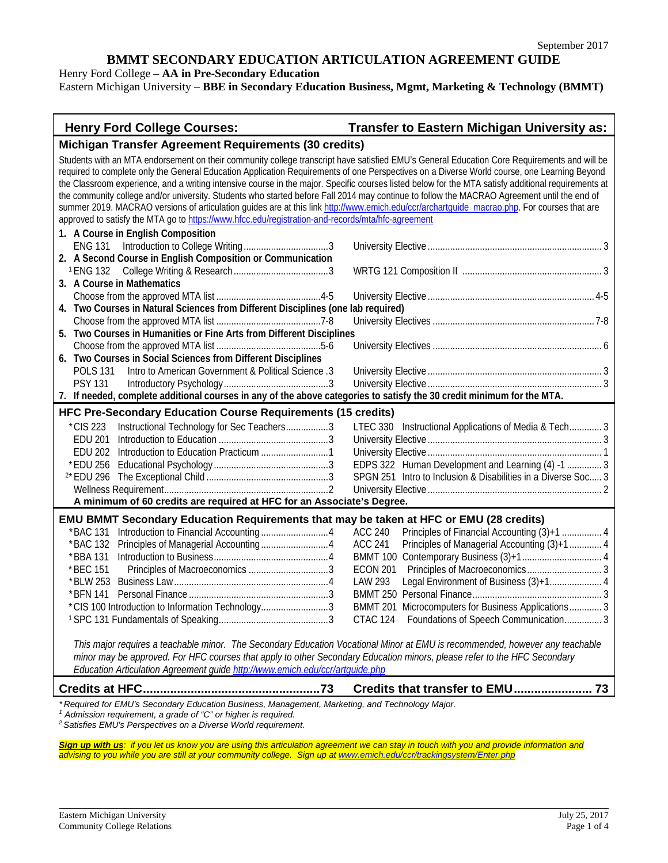Henry Ford College – **AA in Pre-Secondary Education**

Eastern Michigan University – **BBE in Secondary Education Business, Mgmt, Marketing & Technology (BMMT)**

# **Henry Ford College Courses: Transfer to Eastern Michigan University as:**

| Michigan Transfer Agreement Requirements (30 credits)                                                                                               |                                                                |  |  |  |
|-----------------------------------------------------------------------------------------------------------------------------------------------------|----------------------------------------------------------------|--|--|--|
| Students with an MTA endorsement on their community college transcript have satisfied EMU's General Education Core Requirements and will be         |                                                                |  |  |  |
| required to complete only the General Education Application Requirements of one Perspectives on a Diverse World course, one Learning Beyond         |                                                                |  |  |  |
| the Classroom experience, and a writing intensive course in the major. Specific courses listed below for the MTA satisfy additional requirements at |                                                                |  |  |  |
| the community college and/or university. Students who started before Fall 2014 may continue to follow the MACRAO Agreement until the end of         |                                                                |  |  |  |
| summer 2019. MACRAO versions of articulation guides are at this link http://www.emich.edu/ccr/archartquide_macrao.php. For courses that are         |                                                                |  |  |  |
| approved to satisfy the MTA go to https://www.hfcc.edu/registration-and-records/mta/hfc-agreement                                                   |                                                                |  |  |  |
| 1. A Course in English Composition                                                                                                                  |                                                                |  |  |  |
|                                                                                                                                                     |                                                                |  |  |  |
| 2. A Second Course in English Composition or Communication                                                                                          |                                                                |  |  |  |
|                                                                                                                                                     |                                                                |  |  |  |
| 3. A Course in Mathematics                                                                                                                          |                                                                |  |  |  |
|                                                                                                                                                     |                                                                |  |  |  |
| 4. Two Courses in Natural Sciences from Different Disciplines (one lab required)                                                                    |                                                                |  |  |  |
|                                                                                                                                                     |                                                                |  |  |  |
| Two Courses in Humanities or Fine Arts from Different Disciplines<br>5.                                                                             |                                                                |  |  |  |
|                                                                                                                                                     |                                                                |  |  |  |
| 6. Two Courses in Social Sciences from Different Disciplines                                                                                        |                                                                |  |  |  |
| <b>POLS 131</b><br>Intro to American Government & Political Science .3                                                                              |                                                                |  |  |  |
| <b>PSY 131</b>                                                                                                                                      |                                                                |  |  |  |
| 7. If needed, complete additional courses in any of the above categories to satisfy the 30 credit minimum for the MTA.                              |                                                                |  |  |  |
| HFC Pre-Secondary Education Course Requirements (15 credits)                                                                                        |                                                                |  |  |  |
|                                                                                                                                                     |                                                                |  |  |  |
| Instructional Technology for Sec Teachers3<br>*CIS 223                                                                                              | LTEC 330 Instructional Applications of Media & Tech 3          |  |  |  |
| <b>EDU 201</b>                                                                                                                                      |                                                                |  |  |  |
| <b>EDU 202</b>                                                                                                                                      |                                                                |  |  |  |
| * EDU 256                                                                                                                                           | EDPS 322 Human Development and Learning (4) -1  3              |  |  |  |
|                                                                                                                                                     | SPGN 251 Intro to Inclusion & Disabilities in a Diverse Soc 3  |  |  |  |
|                                                                                                                                                     |                                                                |  |  |  |
| A minimum of 60 credits are required at HFC for an Associate's Degree.                                                                              |                                                                |  |  |  |
| EMU BMMT Secondary Education Requirements that may be taken at HFC or EMU (28 credits)                                                              |                                                                |  |  |  |
| *BAC 131                                                                                                                                            | <b>ACC 240</b><br>Principles of Financial Accounting (3)+1  4  |  |  |  |
| * BAC 132                                                                                                                                           | Principles of Managerial Accounting (3)+1  4<br><b>ACC 241</b> |  |  |  |
| * BBA 131                                                                                                                                           |                                                                |  |  |  |
| * BEC 151                                                                                                                                           | <b>ECON 201</b>                                                |  |  |  |
| * BLW 253                                                                                                                                           | Legal Environment of Business (3)+1 4<br>LAW 293               |  |  |  |
| * BFN 141                                                                                                                                           |                                                                |  |  |  |
| *CIS 100 Introduction to Information Technology3                                                                                                    | BMMT 201 Microcomputers for Business Applications 3            |  |  |  |
|                                                                                                                                                     | CTAC 124<br>Foundations of Speech Communication 3              |  |  |  |
|                                                                                                                                                     |                                                                |  |  |  |
| This major requires a teachable minor. The Secondary Education Vocational Minor at EMU is recommended, however any teachable                        |                                                                |  |  |  |
| minor may be approved. For HFC courses that apply to other Secondary Education minors, please refer to the HFC Secondary                            |                                                                |  |  |  |
| Education Articulation Agreement guide http://www.emich.edu/ccr/artquide.php                                                                        |                                                                |  |  |  |
|                                                                                                                                                     | Credits that transfer to EMU<br>73                             |  |  |  |
| *Required for EMU's Secondary Education Business, Management, Marketing, and Technology Major.                                                      |                                                                |  |  |  |
| <sup>1</sup> Admission requirement, a grade of "C" or higher is required.                                                                           |                                                                |  |  |  |

*<sup>2</sup> Satisfies EMU's Perspectives on a Diverse World requirement.*

*Sign up with us: if you let us know you are using this articulation agreement we can stay in touch with you and provide information and advising to you while you are still at your community college. Sign up a[t www.emich.edu/ccr/trackingsystem/Enter.php](http://www.emich.edu/ccr/trackingsystem/Enter.php)*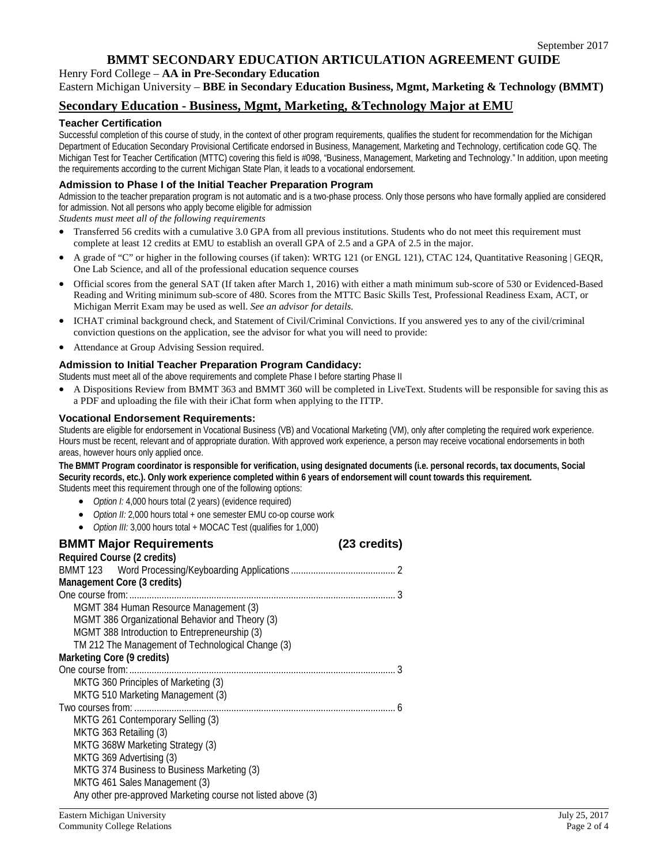Henry Ford College – **AA in Pre-Secondary Education** Eastern Michigan University – **BBE in Secondary Education Business, Mgmt, Marketing & Technology (BMMT)**

## **Secondary Education - Business, Mgmt, Marketing, &Technology Major at EMU**

### **Teacher Certification**

Successful completion of this course of study, in the context of other program requirements, qualifies the student for recommendation for the Michigan Department of Education Secondary Provisional Certificate endorsed in Business, Management, Marketing and Technology, certification code GQ. The Michigan Test for Teacher Certification (MTTC) covering this field is #098, "Business, Management, Marketing and Technology." In addition, upon meeting the requirements according to the current Michigan State Plan, it leads to a vocational endorsement.

#### **Admission to Phase I of the Initial Teacher Preparation Program**

Admission to the teacher preparation program is not automatic and is a two-phase process. Only those persons who have formally applied are considered for admission. Not all persons who apply become eligible for admission

*Students must meet all of the following requirements*

- Transferred 56 credits with a cumulative 3.0 GPA from all previous institutions. Students who do not meet this requirement must complete at least 12 credits at EMU to establish an overall GPA of 2.5 and a GPA of 2.5 in the major.
- A grade of "C" or higher in the following courses (if taken): [WRTG 121](http://catalog.emich.edu/preview_program.php?catoid=23&poid=10874&returnto=4689#tt9787) (or [ENGL 121\)](http://catalog.emich.edu/preview_program.php?catoid=23&poid=10874&returnto=4689#tt3586), [CTAC 124,](http://catalog.emich.edu/preview_program.php?catoid=23&poid=10874&returnto=4689#tt4360) [Quantitative Reasoning | GEQR,](http://catalog.emich.edu/preview_program.php?catoid=23&poid=11120) One Lab Science, and all of the professional education sequence courses
- Official scores from the general SAT (If taken after March 1, 2016) with either a math minimum sub-score of 530 or Evidenced-Based Reading and Writing minimum sub-score of 480. Scores from the MTTC Basic Skills Test, Professional Readiness Exam, ACT, or Michigan Merrit Exam may be used as well. *See an advisor for details.*
- ICHAT criminal background check, and Statement of Civil/Criminal Convictions. If you answered yes to any of the civil/criminal conviction questions on the application, see the advisor for what you will need to provide:
- Attendance at Group Advising Session required.

### **Admission to Initial Teacher Preparation Program Candidacy:**

Students must meet all of the above requirements and complete Phase I before starting Phase II

• A Dispositions Review from [BMMT 363](http://catalog.emich.edu/preview_program.php?catoid=23&poid=10874&returnto=4689#tt7830) and [BMMT 360](http://catalog.emich.edu/preview_program.php?catoid=23&poid=10874&returnto=4689#tt5630) will be completed in LiveText. Students will be responsible for saving this as a PDF and uploading the file with their iChat form when applying to the ITTP.

#### **Vocational Endorsement Requirements:**

Students are eligible for endorsement in Vocational Business (VB) and Vocational Marketing (VM), only after completing the required work experience. Hours must be recent, relevant and of appropriate duration. With approved work experience, a person may receive vocational endorsements in both areas, however hours only applied once.

**The BMMT Program coordinator is responsible for verification, using designated documents (i.e. personal records, tax documents, Social Security records, etc.). Only work experience completed within 6 years of endorsement will count towards this requirement.** Students meet this requirement through one of the following options:

- *Option I:* 4,000 hours total (2 years) (evidence required)
- *Option II:* 2,000 hours total + one semester EMU co-op course work
- *Option III:* 3,000 hours total + MOCAC Test (qualifies for 1,000)

| <b>BMMT Major Requirements</b>                               | (23 credits) |
|--------------------------------------------------------------|--------------|
| Required Course (2 credits)                                  |              |
|                                                              |              |
| Management Core (3 credits)                                  |              |
|                                                              |              |
| MGMT 384 Human Resource Management (3)                       |              |
| MGMT 386 Organizational Behavior and Theory (3)              |              |
| MGMT 388 Introduction to Entrepreneurship (3)                |              |
| TM 212 The Management of Technological Change (3)            |              |
| Marketing Core (9 credits)                                   |              |
|                                                              |              |
| MKTG 360 Principles of Marketing (3)                         |              |
| MKTG 510 Marketing Management (3)                            |              |
|                                                              |              |
| MKTG 261 Contemporary Selling (3)                            |              |
| MKTG 363 Retailing (3)                                       |              |
| MKTG 368W Marketing Strategy (3)                             |              |
| MKTG 369 Advertising (3)                                     |              |
| MKTG 374 Business to Business Marketing (3)                  |              |
| MKTG 461 Sales Management (3)                                |              |
| Any other pre-approved Marketing course not listed above (3) |              |
|                                                              |              |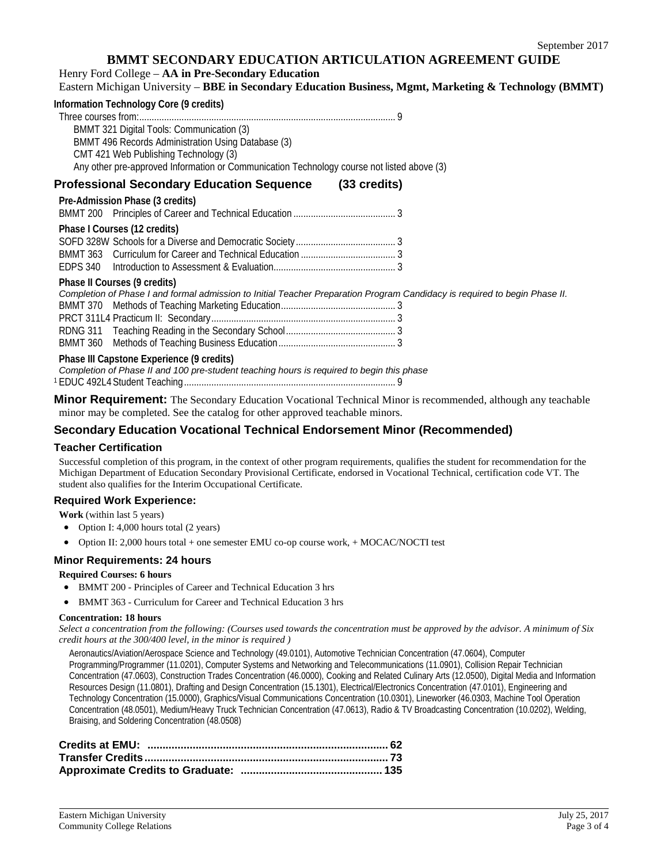Henry Ford College – **AA in Pre-Secondary Education**

Eastern Michigan University – **BBE in Secondary Education Business, Mgmt, Marketing & Technology (BMMT)**

| Information Technology Core (9 credits)                                                                                                                                                                                                |                                                                                                                                                                                                                                      |  |
|----------------------------------------------------------------------------------------------------------------------------------------------------------------------------------------------------------------------------------------|--------------------------------------------------------------------------------------------------------------------------------------------------------------------------------------------------------------------------------------|--|
| BMMT 321 Digital Tools: Communication (3)<br>BMMT 496 Records Administration Using Database (3)<br>CMT 421 Web Publishing Technology (3)<br>Any other pre-approved Information or Communication Technology course not listed above (3) |                                                                                                                                                                                                                                      |  |
| Professional Secondary Education Sequence (33 credits)                                                                                                                                                                                 |                                                                                                                                                                                                                                      |  |
| Pre-Admission Phase (3 credits)                                                                                                                                                                                                        |                                                                                                                                                                                                                                      |  |
|                                                                                                                                                                                                                                        |                                                                                                                                                                                                                                      |  |
| Phase I Courses (12 credits)                                                                                                                                                                                                           |                                                                                                                                                                                                                                      |  |
| Phase II Courses (9 credits)                                                                                                                                                                                                           | Completion of Phase I and formal admission to Initial Teacher Preparation Program Candidacy is required to begin Phase II.                                                                                                           |  |
| Phase III Capstone Experience (9 credits)<br>Completion of Phase II and 100 pre-student teaching hours is required to begin this phase                                                                                                 |                                                                                                                                                                                                                                      |  |
|                                                                                                                                                                                                                                        | <u>Misso Decuisement material in the state of the state of the state of the state of the state of the state of the state of the state of the state of the state of the state of the state of the state of the state of the state</u> |  |

**Minor Requirement:** The Secondary Education Vocational Technical Minor is recommended, although any teachable minor may be completed. See the catalog for other approved teachable minors.

# **Secondary Education Vocational Technical Endorsement Minor (Recommended)**

#### **Teacher Certification**

Successful completion of this program, in the context of other program requirements, qualifies the student for recommendation for the Michigan Department of Education Secondary Provisional Certificate, endorsed in Vocational Technical, certification code VT. The student also qualifies for the Interim Occupational Certificate.

#### **Required Work Experience:**

**Work** (within last 5 years)

- Option I: 4,000 hours total (2 years)
- Option II: 2,000 hours total + one semester EMU co-op course work, + MOCAC/NOCTI test

## **Minor Requirements: 24 hours**

#### **Required Courses: 6 hours**

- BMMT 200 Principles of Career and Technical Education 3 hrs
- BMMT 363 Curriculum for Career and Technical Education 3 hrs

#### **Concentration: 18 hours**

Select a concentration from the following: (Courses used towards the concentration must be approved by the advisor. A minimum of Six *credit hours at the 300/400 level, in the minor is required )*

Aeronautics/Aviation/Aerospace Science and Technology (49.0101), Automotive Technician Concentration (47.0604), Computer Programming/Programmer (11.0201), Computer Systems and Networking and Telecommunications (11.0901), Collision Repair Technician Concentration (47.0603), Construction Trades Concentration (46.0000), Cooking and Related Culinary Arts (12.0500), Digital Media and Information Resources Design (11.0801), Drafting and Design Concentration (15.1301), Electrical/Electronics Concentration (47.0101), Engineering and Technology Concentration (15.0000), Graphics/Visual Communications Concentration (10.0301), Lineworker (46.0303, Machine Tool Operation Concentration (48.0501), Medium/Heavy Truck Technician Concentration (47.0613), Radio & TV Broadcasting Concentration (10.0202), Welding, Braising, and Soldering Concentration (48.0508)